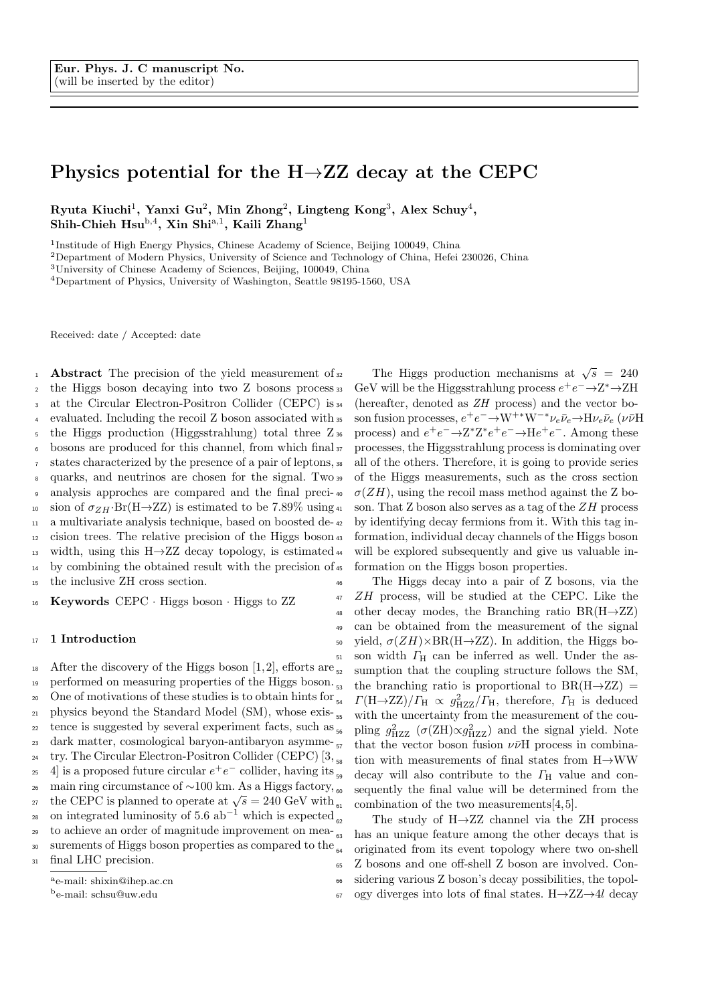# Physics potential for the  $H\rightarrow ZZ$  decay at the CEPC

Ryuta Kiuchi<sup>1</sup>, Yanxi Gu<sup>2</sup>, Min Zhong<sup>2</sup>, Lingteng Kong<sup>3</sup>, Alex Schuy<sup>4</sup>, Shih-Chieh Hsu<sup>b,4</sup>, Xin Shi<sup>a,1</sup>, Kaili Zhang<sup>1</sup>

<sup>1</sup>Institude of High Energy Physics, Chinese Academy of Science, Beijing 100049, China

<sup>2</sup>Department of Modern Physics, University of Science and Technology of China, Hefei 230026, China

<sup>3</sup>University of Chinese Academy of Sciences, Beijing, 100049, China

<sup>4</sup>Department of Physics, University of Washington, Seattle 98195-1560, USA

Received: date / Accepted: date

1 **Abstract** The precision of the yield measurement of  $32$ <sup>2</sup> the Higgs boson decaying into two Z bosons process 3 at the Circular Electron-Positron Collider (CEPC) is 34 evaluated. Including the recoil Z boson associated with  $\frac{1}{2}$ <sup>5</sup> the Higgs production (Higgsstrahlung) total three Z<sup>36</sup> <sup>6</sup> bosons are produced for this channel, from which final <sup>7</sup> states characterized by the presence of a pair of leptons, 8 quarks, and neutrinos are chosen for the signal. Two 39 <sup>9</sup> analysis approches are compared and the final preci-10 sion of  $\sigma_{ZH}$ ·Br(H $\rightarrow$ ZZ) is estimated to be 7.89% using 41 <sup>11</sup> a multivariate analysis technique, based on boosted de-<sup>12</sup> cision trees. The relative precision of the Higgs boson 13 width, using this H $\rightarrow$ ZZ decay topology, is estimated 44 <sup>14</sup> by combining the obtained result with the precision of <sup>15</sup> the inclusive ZH cross section.

<sup>16</sup> Keywords CEPC · Higgs boson · Higgs to ZZ

## 17 1 Introduction

<sup>18</sup> After the discovery of the Higgs boson [1, 2], efforts are  $\frac{1}{2}$ 19 performed on measuring properties of the Higgs boson. 20 One of motivations of these studies is to obtain hints for  $_{54}$ 21 physics beyond the Standard Model (SM), whose exis- $_{22}$  tence is suggested by several experiment facts, such as  $_{56}$ <sup>23</sup> dark matter, cosmological baryon-antibaryon asymme-<sup>24</sup> try. The Circular Electron-Positron Collider (CEPC)  $[3, \frac{1}{56}]$ <sup>25</sup> 4 is a proposed future circular  $e^+e^-$  collider, having its <sup>26</sup> main ring circumstance of ~100 km. As a Higgs factory, <sub>60</sub> the CEPC is planned to operate at  $\sqrt{s} = 240 \text{ GeV}$  with 28 on integrated luminosity of  $5.6$  ab<sup>-1</sup> which is expected <sup>29</sup> to achieve an order of magnitude improvement on mea- $\frac{63}{63}$ 30 surements of Higgs boson properties as compared to the  $\frac{1}{64}$ <sup>31</sup> final LHC precision.  $a<sub>o</sub>$  mail: shixin@ihep.ac.cn

|  |  | e-man. smam@mep.ac.cn |  |
|--|--|-----------------------|--|
|  |  |                       |  |

<sup>b</sup>e-mail: schsu@uw.edu

32 The Higgs production mechanisms at  $\sqrt{s}$  = 240 <sup>33</sup> GeV will be the Higgsstrahlung process  $e^+e^-$  →  $Z^*$  →  $ZH$ (hereafter, denoted as  $ZH$  process) and the vector boss son fusion processes,  $e^+e^- \rightarrow W^{+*}W^{-*}\nu_e\bar{\nu}_e \rightarrow H\nu_e\bar{\nu}_e$  ( $\nu\bar{\nu}H$ <sup>36</sup> process) and  $e^+e^- \rightarrow Z^*Z^*e^+e^- \rightarrow He^+e^-$ . Among these <sup>37</sup> processes, the Higgsstrahlung process is dominating over all of the others. Therefore, it is going to provide series <sup>39</sup> of the Higgs measurements, such as the cross section  $\sigma(ZH)$ , using the recoil mass method against the Z boson. That  $Z$  boson also serves as a tag of the  $ZH$  process by identifying decay fermions from it. With this tag information, individual decay channels of the Higgs boson will be explored subsequently and give us valuable information on the Higgs boson properties.

The Higgs decay into a pair of Z bosons, via the <sup>47</sup> ZH process, will be studied at the CEPC. Like the 48 other decay modes, the Branching ratio  $BR(H\rightarrow ZZ)$ <sup>49</sup> can be obtained from the measurement of the signal 50 yield,  $\sigma(ZH) \times BR(H \rightarrow ZZ)$ . In addition, the Higgs bo- $_{51}$  son width  $\Gamma_{\text{H}}$  can be inferred as well. Under the assumption that the coupling structure follows the SM, the branching ratio is proportional to  $BR(H\rightarrow ZZ)$  = <sup>54</sup>  $\Gamma(\text{H}\rightarrow\text{ZZ})/\Gamma_{\text{H}} \propto g_{\text{HZZ}}^2/\Gamma_{\text{H}}$ , therefore,  $\Gamma_{\text{H}}$  is deduced with the uncertainty from the measurement of the cou-<sup>56</sup> pling  $g_{\rm HZZ}^2$  ( $\sigma$ (ZH) $\propto g_{\rm HZZ}^2$ ) and the signal yield. Note that the vector boson fusion  $\nu\bar{\nu}H$  process in combination with measurements of final states from  $H\rightarrow WW$ decay will also contribute to the  $\Gamma_{\rm H}$  value and consequently the final value will be determined from the combination of the two measurements $[4, 5]$ .

The study of  $H\rightarrow ZZ$  channel via the ZH process has an unique feature among the other decays that is originated from its event topology where two on-shell <sup>65</sup> Z bosons and one off-shell Z boson are involved. Con-<sup>66</sup> sidering various Z boson's decay possibilities, the topol- $67$  ogy diverges into lots of final states. H $\rightarrow$ ZZ $\rightarrow$ 4l decay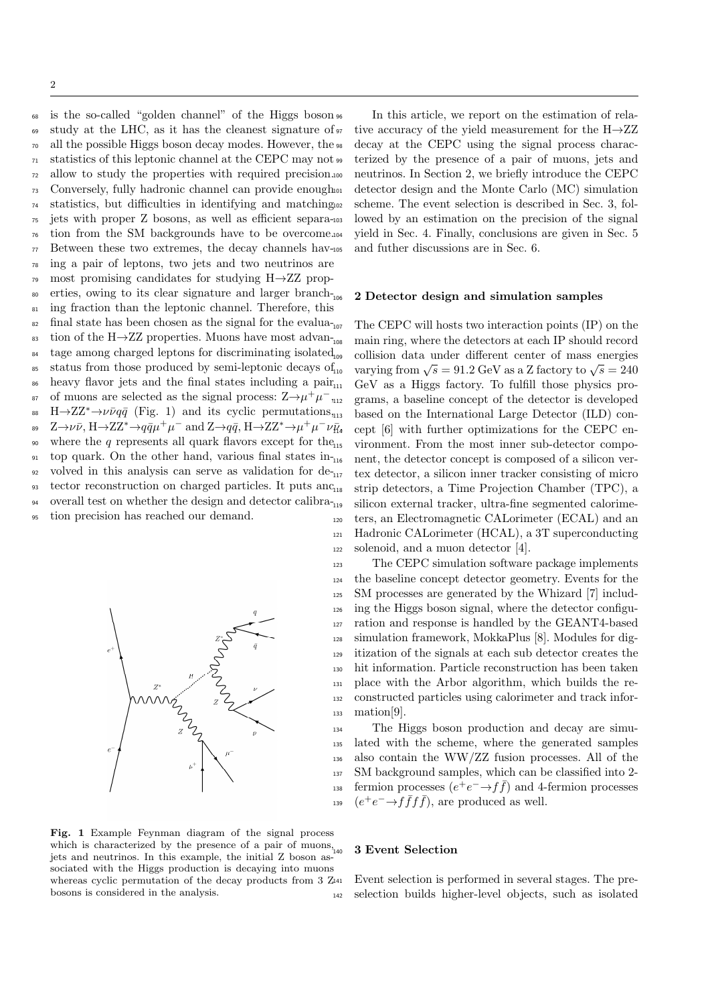<sup>68</sup> is the so-called "golden channel" of the Higgs boson <sup>69</sup> study at the LHC, as it has the cleanest signature of  $70$  all the possible Higgs boson decay modes. However, the  $\frac{1}{2}$  $71$  statistics of this leptonic channel at the CEPC may not  $\mathfrak{so}$ <sup>72</sup> allow to study the properties with required precision. <sup>73</sup> Conversely, fully hadronic channel can provide enough <sup>74</sup> statistics, but difficulties in identifying and matching <sup>75</sup> jets with proper Z bosons, as well as efficient separa-<sup>76</sup> tion from the SM backgrounds have to be overcome. <sup>77</sup> Between these two extremes, the decay channels hav-<sup>78</sup> ing a pair of leptons, two jets and two neutrinos are <sup>79</sup> most promising candidates for studying H→ZZ prop-80 erties, owing to its clear signature and larger branch-<sup>81</sup> ing fraction than the leptonic channel. Therefore, this  $\epsilon$ <sup>82</sup> final state has been chosen as the signal for the evalua-<sub>107</sub> 83 tion of the H $\rightarrow$ ZZ properties. Muons have most advan- $_{84}$  tage among charged leptons for discriminating isolated<sub>109</sub>  $\text{185}$  status from those produced by semi-leptonic decays of  $\text{10}$ 86 heavy flavor jets and the final states including a pair<sub>111</sub> <sup>87</sup> of muons are selected as the signal process:  $Z \rightarrow \mu^+ \mu^-$ , <sup>88</sup> H $\rightarrow$ ZZ<sup>\*</sup> $\rightarrow \nu \bar{\nu} q \bar{q}$  (Fig. 1) and its cyclic permutations, <sup>89</sup> Z→ν $\bar{\nu}$ , H→ZZ<sup>\*</sup>→q $\bar{q}\mu^+\mu^-$  and Z→q $\bar{q}$ , H→ZZ<sup>\*</sup>→ $\mu^+\mu^-\nu\bar{\mu}_4$ 90 where the q represents all quark flavors except for the  $q_1$ 91 top quark. On the other hand, various final states in- $_{92}$  volved in this analysis can serve as validation for de- $_{117}$ 93 tector reconstruction on charged particles. It puts anc<sub>118</sub>  $\,$ 94 – overall test on whether the design and detector calibra- $\,$ <sup>95</sup> tion precision has reached our demand.



Fig. 1 Example Feynman diagram of the signal process which is characterized by the presence of a pair of muons, jets and neutrinos. In this example, the initial Z boson associated with the Higgs production is decaying into muons whereas cyclic permutation of the decay products from 3  $Z_{141}$ bosons is considered in the analysis.

In this article, we report on the estimation of relative accuracy of the yield measurement for the  $H\rightarrow ZZ$ decay at the CEPC using the signal process characterized by the presence of a pair of muons, jets and neutrinos. In Section 2, we briefly introduce the CEPC detector design and the Monte Carlo (MC) simulation scheme. The event selection is described in Sec. 3, followed by an estimation on the precision of the signal yield in Sec. 4. Finally, conclusions are given in Sec. 5 and futher discussions are in Sec. 6.

### 2 Detector design and simulation samples

The CEPC will hosts two interaction points (IP) on the main ring, where the detectors at each IP should record collision data under different center of mass energies varying from  $\sqrt{s} = 91.2$  GeV as a Z factory to  $\sqrt{s} = 240$  $10$ <sup>eV</sup> as a Higgs factory. To fulfill those physics programs, a baseline concept of the detector is developed based on the International Large Detector (ILD) concept  $[6]$  with further optimizations for the CEPC environment. From the most inner sub-detector component, the detector concept is composed of a silicon vertex detector, a silicon inner tracker consisting of micro strip detectors, a Time Projection Chamber (TPC), a silicon external tracker, ultra-fine segmented calorime-<sup>120</sup> ters, an Electromagnetic CALorimeter (ECAL) and an <sup>121</sup> Hadronic CALorimeter (HCAL), a 3T superconducting <sup>122</sup> solenoid, and a muon detector [4].

 The CEPC simulation software package implements the baseline concept detector geometry. Events for the SM processes are generated by the Whizard [7] includ- ing the Higgs boson signal, where the detector configu- ration and response is handled by the GEANT4-based simulation framework, MokkaPlus [8]. Modules for dig- itization of the signals at each sub detector creates the hit information. Particle reconstruction has been taken place with the Arbor algorithm, which builds the re- constructed particles using calorimeter and track infor- $_{133}$  mation[9].

 The Higgs boson production and decay are simu- lated with the scheme, where the generated samples also contain the WW/ZZ fusion processes. All of the SM background samples, which can be classified into 2- <sup>138</sup> fermion processes  $(e^+e^- \rightarrow f\bar{f})$  and 4-fermion processes  $(e^+e^- \rightarrow f\bar{f}f\bar{f})$ , are produced as well.

#### 3 Event Selection

Event selection is performed in several stages. The pre-<sup>142</sup> selection builds higher-level objects, such as isolated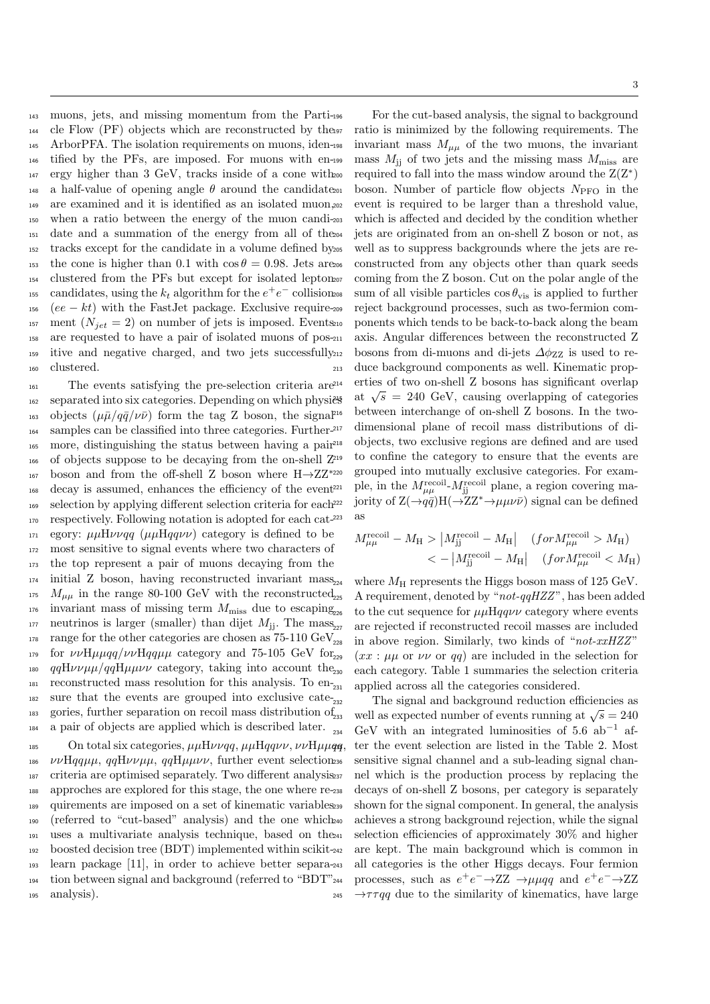muons, jets, and missing momentum from the Parti- cle Flow (PF) objects which are reconstructed by the ArborPFA. The isolation requirements on muons, iden- tified by the PFs, are imposed. For muons with en- ergy higher than 3 GeV, tracks inside of a cone with 148 a half-value of opening angle  $\theta$  around the candidate 201 are examined and it is identified as an isolated muon, when a ratio between the energy of the muon candi- date and a summation of the energy from all of the tracks except for the candidate in a volume defined by 153 the cone is higher than 0.1 with  $\cos \theta = 0.98$ . Jets are 206 clustered from the PFs but except for isolated lepton the candidates, using the  $k_t$  algorithm for the  $e^+e^-$  collision (ee – kt) with the FastJet package. Exclusive require-209 <sup>157</sup> ment  $(N_{jet} = 2)$  on number of jets is imposed. Events<sub>210</sub>

<sup>160</sup> clustered. <sup>161</sup> The events satisfying the pre-selection criteria are  $_{162}$  separated into six categories. Depending on which physics 163 objects  $(\mu \bar{\mu}/q\bar{q}/\nu\bar{\nu})$  form the tag Z boson, the signal<sup>216</sup> 164 samples can be classified into three categories. Further-<sup>217</sup> <sup>165</sup> more, distinguishing the status between having a pair <sup>166</sup> of objects suppose to be decaying from the on-shell Z boson and from the off-shell Z boson where  $H\rightarrow ZZ^{*220}$ 167 <sup>168</sup> decay is assumed, enhances the efficiency of the event 169 selection by applying different selection criteria for each<sup>222</sup> <sup>170</sup> respectively. Following notation is adopted for each cat-171 egory:  $\mu\mu H\nu\nu qq$  ( $\mu\mu Hqq\nu\nu$ ) category is defined to be <sup>172</sup> most sensitive to signal events where two characters of <sup>173</sup> the top represent a pair of muons decaying from the  $174$  initial Z boson, having reconstructed invariant mass<sub>224</sub>  $175$   $M_{\mu\mu}$  in the range 80-100 GeV with the reconstructed  $_{176}$  invariant mass of missing term  $M_{\text{miss}}$  due to escaping<sub>226</sub> neutrinos is larger (smaller) than dijet  $M_{\rm ii}$ . The mass, 178 range for the other categories are chosen as  $75{\text -}110~\text{GeV}_{228}$ 179 for  $\nu\nu$ H $\mu\mu\gamma$ qq $/\nu\nu$ Hqq $\mu\mu$  category and 75-105 GeV for<sub>229</sub> 180 qqHvv $\mu\mu$ /qqH $\mu\mu\nu\nu$  category, taking into account the<sub>230</sub>  $181$  reconstructed mass resolution for this analysis. To  $en_{231}$  $182$  sure that the events are grouped into exclusive cate- $_{232}$ 183 gories, further separation on recoil mass distribution of  $_{233}$  $_{184}$  a pair of objects are applied which is described later.

<sup>158</sup> are requested to have a pair of isolated muons of pos-<sup>159</sup> itive and negative charged, and two jets successfully

185 On total six categories,  $\mu\mu H\nu\nu q$ ,  $\mu\mu Hqq\nu\nu$ ,  $\nu\nu H\nu\mu q$ ,  $\nu\nu$ Hqq $\mu\mu$ , qqH $\nu\nu\mu$ , qqH $\mu\mu\nu\nu$ , further event selection<sub>236</sub> 187 criteria are optimised separately. Two different analysis237 approches are explored for this stage, the one where re- quirements are imposed on a set of kinematic variables (referred to "cut-based" analysis) and the one which uses a multivariate analysis technique, based on the boosted decision tree (BDT) implemented within scikit- learn package [11], in order to achieve better separa- tion between signal and background (referred to "BDT" analysis).

For the cut-based analysis, the signal to background ratio is minimized by the following requirements. The invariant mass  $M_{\mu\mu}$  of the two muons, the invariant mass  $M_{\rm ii}$  of two jets and the missing mass  $M_{\rm miss}$  are required to fall into the mass window around the  $Z(Z^*)$ boson. Number of particle flow objects  $N_{\text{PFO}}$  in the event is required to be larger than a threshold value. which is affected and decided by the condition whether jets are originated from an on-shell Z boson or not, as well as to suppress backgrounds where the jets are reconstructed from any objects other than quark seeds coming from the Z boson. Cut on the polar angle of the sum of all visible particles  $\cos \theta_{\text{vis}}$  is applied to further reject background processes, such as two-fermion components which tends to be back-to-back along the beam axis. Angular differences between the reconstructed Z bosons from di-muons and di-jets  $\Delta\phi_{ZZ}$  is used to reduce background components as well. Kinematic properties of two on-shell Z bosons has significant overlap  $\frac{\text{Area}}{\text{Area}}$  at  $\sqrt{s}$  = 240 GeV, causing overlapping of categories between interchange of on-shell Z bosons. In the twodimensional plane of recoil mass distributions of di-<sup>218</sup> objects, two exclusive regions are defined and are used to confine the category to ensure that the events are grouped into mutually exclusive categories. For exam-<sup>221</sup> ple, in the  $M_{\mu\mu}^{\text{recoil}}$ - $M_{jj}^{\text{recoil}}$  plane, a region covering ma-<sup>222</sup> jority of  $Z(\rightarrow q\bar{q})H(\rightarrow ZZ^* \rightarrow \mu\mu\nu\bar{\nu})$  signal can be defined as

$$
M_{\mu\mu}^{\text{recoil}} - M_{\text{H}} > |M_{\text{jj}}^{\text{recoil}} - M_{\text{H}}| \quad (for M_{\mu\mu}^{\text{recoil}} > M_{\text{H}})
$$
  

$$
< -|M_{\text{jj}}^{\text{recoil}} - M_{\text{H}}| \quad (for M_{\mu\mu}^{\text{recoil}} < M_{\text{H}})
$$

where  $M_H$  represents the Higgs boson mass of 125 GeV. A requirement, denoted by " $not-qqHZZ"$ , has been added to the cut sequence for  $\mu\mu$ Hqqvv category where events are rejected if reconstructed recoil masses are included in above region. Similarly, two kinds of " $not$ - $xxHZZ$ "  $(xx : \mu\mu$  or  $\nu\nu$  or qq) are included in the selection for each category. Table 1 summaries the selection criteria applied across all the categories considered.

The signal and background reduction efficiencies as well as expected number of events running at  $\sqrt{s} = 240$  $GeV$  with an integrated luminosities of 5.6 ab<sup>-1</sup> after the event selection are listed in the Table 2. Most sensitive signal channel and a sub-leading signal channel which is the production process by replacing the decays of on-shell Z bosons, per category is separately shown for the signal component. In general, the analysis achieves a strong background rejection, while the signal selection efficiencies of approximately 30% and higher are kept. The main background which is common in all categories is the other Higgs decays. Four fermion 244 processes, such as  $e^+e^- \rightarrow ZZ \rightarrow \mu \mu qq$  and  $e^+e^- \rightarrow ZZ$  $\rightarrow \tau \tau qq$  due to the similarity of kinematics, have large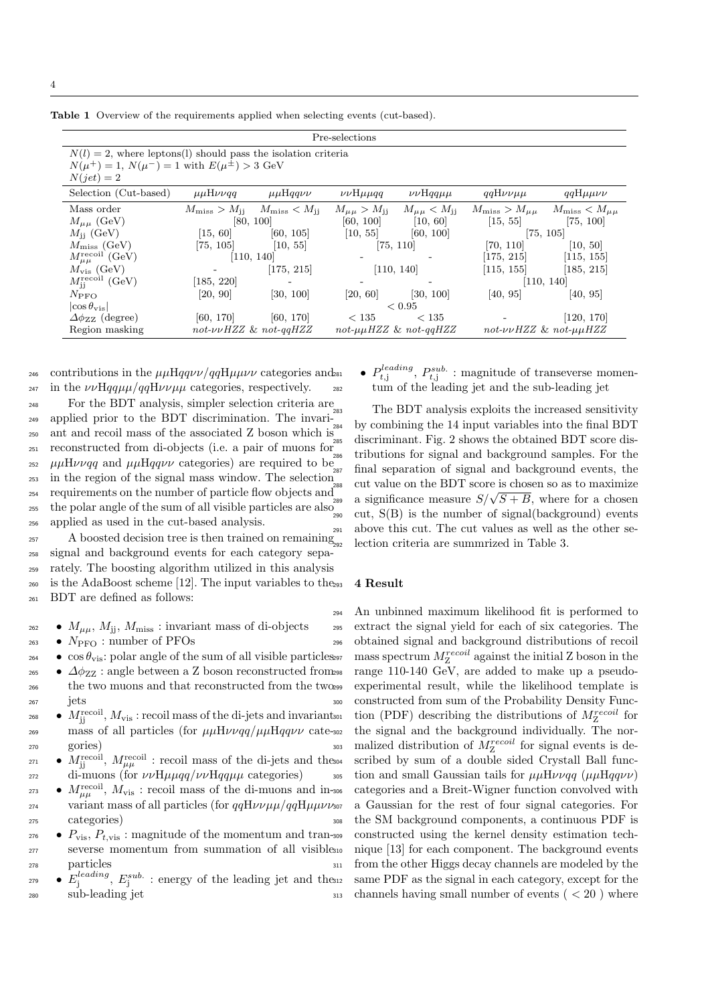Table 1 Overview of the requirements applied when selecting events (cut-based).

| Pre-selections                                                                                                                                 |                                  |                                                         |                                        |                                        |                                                                     |                       |
|------------------------------------------------------------------------------------------------------------------------------------------------|----------------------------------|---------------------------------------------------------|----------------------------------------|----------------------------------------|---------------------------------------------------------------------|-----------------------|
| $N(l) = 2$ , where leptons(1) should pass the isolation criteria<br>$N(\mu^{+}) = 1, N(\mu^{-}) = 1$ with $E(\mu^{\pm}) > 3$ GeV<br>$N(jet)=2$ |                                  |                                                         |                                        |                                        |                                                                     |                       |
| Selection (Cut-based)                                                                                                                          | $\mu\mu H\nu\nu q\overline{q}$   | $\mu\mu$ Hqqvv                                          | $\nu\nu$ H $\mu\mu$ qq                 | $\nu\nu$ Hqq $\mu\mu$                  | $qqH\nu\nu\mu\mu$                                                   | $qqH\mu\mu\nu\nu$     |
| Mass order<br>$M_{\mu\mu}$ (GeV)                                                                                                               | [80, 100]                        | $M_{\rm miss} > M_{\rm jj}$ $M_{\rm miss} < M_{\rm jj}$ | $M_{\mu\mu} > M_{\rm ii}$<br>[60, 100] | $M_{\mu\mu} < M_{\rm ii}$<br>[10, 60]  | $M_{\rm miss} > M_{\mu\mu}$ $M_{\rm miss} < M_{\mu\mu}$<br>[15, 55] | [75, 100]             |
| $M_{\rm ii}$ (GeV)                                                                                                                             | [15, 60]                         | [60, 105]                                               | [10, 55]                               | [60, 100]                              |                                                                     | [75, 105]             |
| $M_{\rm miss}$ (GeV)                                                                                                                           | [75, 105]                        | [10, 55]                                                |                                        | [75, 110]                              | [70, 110]                                                           | [10, 50]              |
| $M_{\mu\mu}^{\rm recoil} \ ( {\rm GeV} )$                                                                                                      |                                  | [110, 140]                                              |                                        |                                        | [175, 215]                                                          | [115, 155]            |
| $M_{\rm vis}$ (GeV)                                                                                                                            |                                  | [175, 215]                                              |                                        | [110, 140]                             | [115, 155]                                                          | [185, 215]            |
| $M_{\rm ii}^{\rm recoil}$ (GeV)                                                                                                                | [185, 220]                       |                                                         |                                        |                                        |                                                                     | [110, 140]            |
| $N_{\text{PFO}}$                                                                                                                               | [20, 90]                         | [30, 100]                                               | [20, 60]                               | [30, 100]                              | [40, 95]                                                            | [40, 95]              |
| $ \cos \theta_{\rm vis} $                                                                                                                      |                                  |                                                         |                                        | ${}_{\leq 0.95}$                       |                                                                     |                       |
| $\Delta \phi_{ZZ}$ (degree)                                                                                                                    | [60, 170]                        | [60, 170]                                               | < 135                                  | < 135                                  |                                                                     | [120, 170]            |
| Region masking                                                                                                                                 | $not$ - $\nu\nu$ HZZ & not-qqHZZ |                                                         |                                        | $not$ - $\mu\mu HZZ$ & $not$ - $qqHZZ$ |                                                                     | not-vvHZZ & not-µµHZZ |

246 contributions in the  $\mu\mu H q q \nu \nu / q q H \mu \mu \nu \nu$  categories and 281 <sup>247</sup> in the  $\nu\nu\text{H}qq\mu\mu/qq\text{H}\nu\nu\mu\mu$  categories, respectively.

 For the BDT analysis, simpler selection criteria are applied prior to the BDT discrimination. The invari- ant and recoil mass of the associated Z boson which is reconstructed from di-objects (i.e. a pair of muons for <sup>252</sup>  $\mu\mu$ H $\nu\nu$ qq and  $\mu\mu$ Hqq $\nu\nu$  categories) are required to be in the region of the signal mass window. The selection  $_{254}$  requirements on the number of particle flow objects and  $_{254}^{288}$  $\frac{255}{255}$  the polar angle of the sum of all visible particles are also  $\frac{255}{290}$ applied as used in the cut-based analysis.

 A boosted decision tree is then trained on remaining signal and background events for each category sepa- rately. The boosting algorithm utilized in this analysis <sup>260</sup> is the AdaBoost scheme [12]. The input variables to the BDT are defined as follows:

 $\bullet M_{\mu\mu}$ ,  $M_{\rm ii}$ ,  $M_{\rm miss}$ : invariant mass of di-objects

 $_{263}$  •  $N_{\text{PFO}}$ : number of PFOs

- $\cos \theta_{\text{vis}}$ : polar angle of the sum of all visible particles.
- 265  $\Delta\phi_{ZZ}$ : angle between a Z boson reconstructed from 298 <sup>266</sup> the two muons and that reconstructed from the two <sup>299</sup> <sup>267</sup> jets
- <sup>268</sup>  $M_{\rm ij}^{\rm recoil}$ ,  $M_{\rm vis}$  : recoil mass of the di-jets and invariant  $\frac{269}{269}$  mass of all particles (for  $\mu\mu H\nu\nu qq/\mu\mu Hqq\nu\nu$  cate-302 <sup>270</sup> gories)
- $M_{jj}^{\text{recoil}}$ ,  $M_{\mu\mu}^{\text{recoil}}$ : recoil mass of the di-jets and the  $272$  di-muons (for  $\nu\nu H\mu\mu qq/\nu\nu Hqq\mu\mu$  categories)
- <sup>273</sup>  $M_{\mu\mu}^{\text{recoil}}$ ,  $M_{\text{vis}}$ : recoil mass of the di-muons and in-<sup>274</sup> variant mass of all particles (for  $qqH\nu\nu\mu\mu/qqH\nmu\nu\nu\nu\sigma\nu$ <sup>275</sup> categories)
- $P_{\text{vis}}$   $P_{t,\text{vis}}$ : magnitude of the momentum and tran-309 <sup>277</sup> severse momentum from summation of all visible <sup>278</sup> particles
- $E_j^{leading}, E_j^{sub.}$ : energy of the leading jet and the <sup>280</sup> sub-leading jet

<sup>281</sup> •  $P_{t,j}^{leading}$ ,  $P_{t,j}^{sub.}$ : magnitude of transeverse momentum of the leading jet and the sub-leading jet

The BDT analysis exploits the increased sensitivity by combining the 14 input variables into the final BDT discriminant. Fig. 2 shows the obtained BDT score distributions for signal and background samples. For the final separation of signal and background events, the cut value on the BDT score is chosen so as to maximize <sup>288</sup> Cut value on the BDT score is chosen so as to maximize<br><sup>289</sup> a significance measure  $S/\sqrt{S+B}$ , where for a chosen cut,  $S(B)$  is the number of signal(background) events above this cut. The cut values as well as the other selection criteria are summrized in Table 3.

#### 4 Result

<sup>294</sup> An unbinned maximum likelihood fit is performed to <sup>295</sup> extract the signal yield for each of six categories. The <sup>296</sup> obtained signal and background distributions of recoil  $\mu_{\text{2}}$  mass spectrum  $M_{\text{Z}}^{recoil}$  against the initial Z boson in the range 110-140 GeV, are added to make up a pseudoexperimental result, while the likelihood template is <sup>300</sup> constructed from sum of the Probability Density Func- $_{301}$  tion (PDF) describing the distributions of  $M_Z^{recoil}$  for the signal and the background individually. The nor- $\sum_{i=1}^{303}$  malized distribution of  $M_Z^{recoil}$  for signal events is described by sum of a double sided Crystall Ball func-305 tion and small Gaussian tails for  $\mu\mu H\nu\nu q\bar{q}$  ( $\mu\mu Hq\bar{q}\nu\nu$ ) <sup>306</sup> categories and a Breit-Wigner function convolved with <sup>307</sup> a Gaussian for the rest of four signal categories. For <sup>308</sup> the SM background components, a continuous PDF is constructed using the kernel density estimation technique [13] for each component. The background events <sup>311</sup> from the other Higgs decay channels are modeled by the same PDF as the signal in each category, except for the  $_{313}$  channels having small number of events (  $<$  20 ) where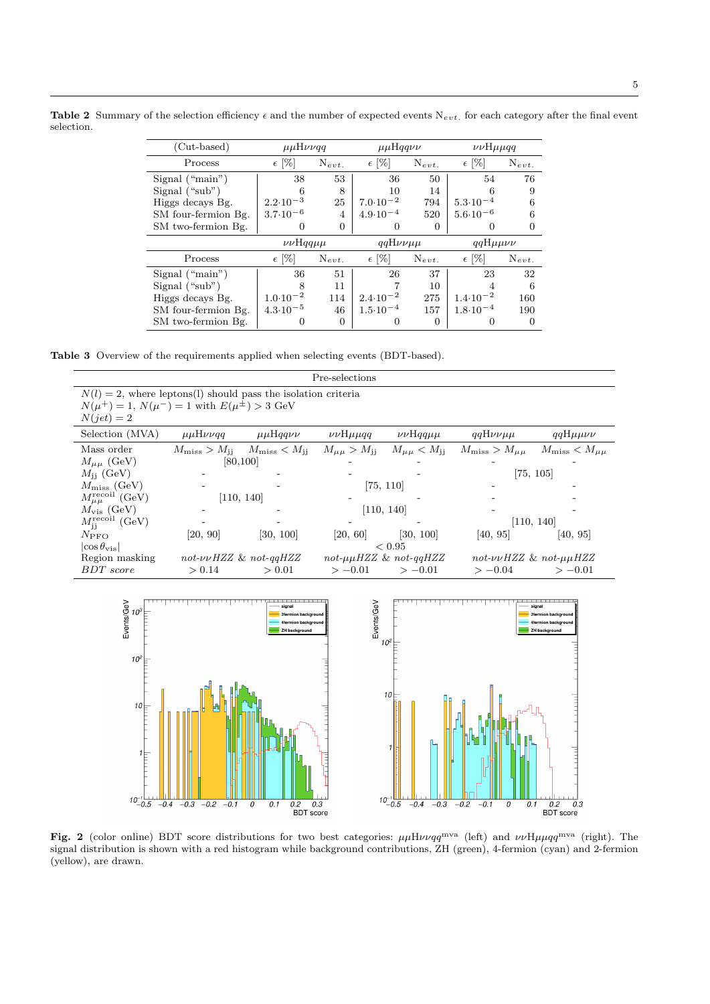Table 2 Summary of the selection efficiency  $\epsilon$  and the number of expected events N<sub>evt</sub>. for each category after the final event selection.

| $(Cut-based)$       | $\mu\mu H\nu\nu q\overline{q}$ |                | $\mu\mu$ Hqqvv      |            | $\nu\nu$ H $\mu\mu$ qq |            |
|---------------------|--------------------------------|----------------|---------------------|------------|------------------------|------------|
| Process             | $\epsilon$ [%]                 | $N_{evt.}$     | $\epsilon$ [%]      | $N_{evt.}$ | $\epsilon$ [%]         | $N_{evt.}$ |
| Signal $("main")$   | 38                             | 53             | 36                  | 50         | 54                     | 76         |
| Signal $("sub")$    | 6                              | 8              | 10                  | 14         |                        | 9          |
| Higgs decays Bg.    | $2.2 \cdot 10^{-3}$            | 25             | $7.0 \cdot 10^{-2}$ | 794        | $5.3 \cdot 10^{-4}$    | 6          |
| SM four-fermion Bg. | $3.7 \cdot 10^{-6}$            | $\overline{4}$ | $4.9 \cdot 10^{-4}$ | 520        | $5.6 \cdot 10^{-6}$    |            |
| SM two-fermion Bg.  | 0                              | 0              | 0                   | 0          |                        |            |
|                     |                                |                |                     |            |                        |            |
|                     | $\nu\nu$ Hqq $\mu\mu$          |                | $qqH\nu\nu\mu\mu$   |            | $qqH\mu\mu\nu\nu$      |            |
| Process             | $\epsilon$ [%]                 | $N_{evt.}$     | $\epsilon$ [%]      | $N_{evt.}$ | $\epsilon$  %          | $N_{evt.}$ |
| Signal("main")      | 36                             | 51             | 26                  | 37         | 23                     | 32         |
| Signal $("sub")$    | 8                              | 11             |                     | 10         | 4                      | 6          |
| Higgs decays Bg.    | $1.0 \cdot 10^{-2}$            | 114            | $2.4 \cdot 10^{-2}$ | 275        | $1.4 \cdot 10^{-2}$    | 160        |
| SM four-fermion Bg. | $4.3 \cdot 10^{-5}$            | 46             | $1.5 \cdot 10^{-4}$ | 157        | $1.8 \cdot 10^{-4}$    | 190        |

Table 3 Overview of the requirements applied when selecting events (BDT-based).

 $10^{-1}$ 

| Pre-selections                                                                                                                                 |                     |                                                                      |                           |                                                    |                                                         |                                                                    |  |
|------------------------------------------------------------------------------------------------------------------------------------------------|---------------------|----------------------------------------------------------------------|---------------------------|----------------------------------------------------|---------------------------------------------------------|--------------------------------------------------------------------|--|
| $N(l) = 2$ , where leptons(l) should pass the isolation criteria<br>$N(\mu^{+}) = 1, N(\mu^{-}) = 1$ with $E(\mu^{\pm}) > 3$ GeV<br>$N(jet)=2$ |                     |                                                                      |                           |                                                    |                                                         |                                                                    |  |
| Selection (MVA)                                                                                                                                | $\mu\mu H\nu\nu qq$ | $\mu\mu$ Hqqvv                                                       | $\nu\nu$ H $\mu\mu$ qq    | $\nu\nu$ Hqq $\mu\mu$                              | $qqH\nu\nu\mu\mu$                                       | $qqH\mu\mu\nu\nu$                                                  |  |
| Mass order<br>$M_{\mu\mu}$ (GeV)                                                                                                               |                     | $M_{\rm miss} > M_{\rm jj}$ $M_{\rm miss} < M_{\rm jj}$<br>[80, 100] | $M_{\mu\mu} > M_{\rm jj}$ | $M_{\mu\mu} < M_{jj}$                              | $M_{\rm miss} > M_{\mu\mu}$ $M_{\rm miss} < M_{\mu\mu}$ |                                                                    |  |
| $M_{\rm ii}$ (GeV)                                                                                                                             |                     |                                                                      |                           |                                                    |                                                         | [75, 105]                                                          |  |
| $M_{\rm miss}$ (GeV)<br>$M_{\mu\mu}^{\text{recoil}}$ (GeV)                                                                                     |                     | [110, 140]                                                           |                           | [75, 110]                                          |                                                         |                                                                    |  |
| $M_{\rm vis}$ (GeV)                                                                                                                            |                     |                                                                      |                           | [110, 140]                                         |                                                         |                                                                    |  |
| $M_{\rm ii}^{\rm recoil}$ (GeV)                                                                                                                |                     |                                                                      |                           |                                                    |                                                         | [110, 140]                                                         |  |
| $N_{\text{PFO}}$                                                                                                                               | [20, 90]            | [30, 100]                                                            | [20, 60]                  | [30, 100]                                          | [40, 95]                                                | [40, 95]                                                           |  |
| $ \cos \theta_{\rm vis} $                                                                                                                      |                     |                                                                      |                           | < 0.95                                             |                                                         |                                                                    |  |
| Region masking<br><b>BDT</b> score                                                                                                             | > 0.14              | $not$ - $\nu\nu$ HZZ & not-qqHZZ<br>> 0.01                           | $>-0.01$                  | $not$ - $\mu\mu HZZ$ & $not$ - $qqHZZ$<br>$>-0.01$ | $not$ - $\nu\nu$ HZZ & not- $\mu\mu$ HZZ<br>$>-0.04$    | $>-0.01$                                                           |  |
| $E$ vents/GeV<br>$10^3$<br>$10^{2}$<br>10<br>1                                                                                                 |                     | 2fermion background<br>4fermion backgroun<br><b>ZH background</b>    | Events/GeV                | $10^{2}$<br>10                                     |                                                         | 2fermion background<br>4fermion background<br><b>ZH background</b> |  |

Fig. 2 (color online) BDT score distributions for two best categories:  $\mu\mu H\nu\nu qq^{\text{mva}}$  (left) and  $\nu\nu H\nu\mu qq^{\text{mva}}$  (right). The signal distribution is shown with a red histogram while background contributions, ZH (green), 4-fermion (cyan) and 2-fermion (yellow), are drawn.

 $\overline{0.1}$ 

0

 $-0.2$  $-0.1$ 

 $-0.3$ 

 $-0.4$ 

0.2 0.3  $0.3$ 

 $10^{-1}$ 

 $-0.4$ 

 $-0.3$ 

 $0.2$  0.<br>BDT score

 $\overline{0.3}$ 

 $-0.1$ 

 $\overline{\overline{o}}$  $\overline{0.1}$ 

 $-0.2$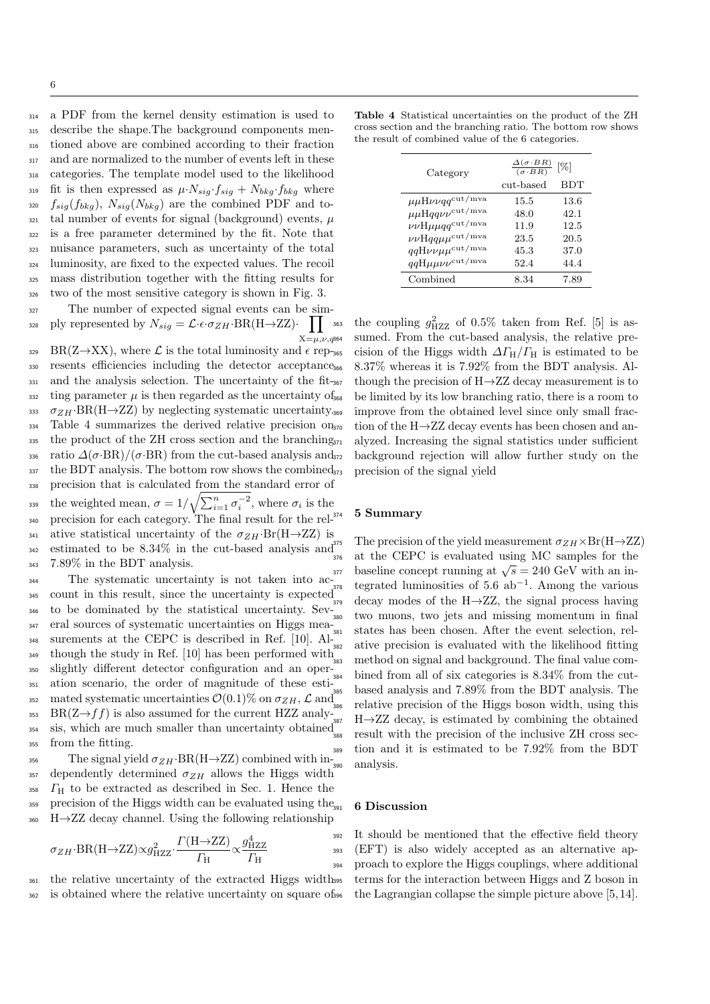a PDF from the kernel density estimation is used to describe the shape.The background components men- tioned above are combined according to their fraction and are normalized to the number of events left in these categories. The template model used to the likelihood 319 fit is then expressed as  $\mu \cdot N_{sig} \cdot f_{sig} + N_{bkg} \cdot f_{bkg}$  where  $s_{320}$   $f_{sig}(f_{bkg})$ ,  $N_{sig}(N_{bkg})$  are the combined PDF and to- $_{321}$  tal number of events for signal (background) events,  $\mu$  is a free parameter determined by the fit. Note that nuisance parameters, such as uncertainty of the total luminosity, are fixed to the expected values. The recoil mass distribution together with the fitting results for two of the most sensitive category is shown in Fig. 3.

<sup>327</sup> The number of expected signal events can be simply represented by  $N_{sig} = \mathcal{L} \cdot \epsilon \cdot \sigma_{ZH} \cdot BR(H \rightarrow ZZ) \cdot$  $\mathbf{H}$  $X=\mu,\nu,q$ 364 328

329 BR(Z $\rightarrow$ XX), where  $\mathcal{L}$  is the total luminosity and  $\epsilon$  rep-365 <sup>330</sup> resents efficiencies including the detector acceptance 331 and the analysis selection. The uncertainty of the fit-367  $\frac{332}{100}$  ting parameter  $\mu$  is then regarded as the uncertainty of  $\frac{5}{368}$ 333  $\sigma_{ZH}$ ·BR(H $\rightarrow$ ZZ) by neglecting systematic uncertainty. <sup>334</sup> Table 4 summarizes the derived relative precision on  $_{335}$  the product of the ZH cross section and the branching<sub>371</sub> 336 ratio  $\Delta(\sigma$ ·BR)/( $\sigma$ ·BR) from the cut-based analysis and<sub>372</sub>  $337$  the BDT analysis. The bottom row shows the combined  $373$ <sup>338</sup> precision that is calculated from the standard error of the weighted mean,  $\sigma = 1/\sqrt{\sum_{i=1}^{n} \sigma_i^{-2}}$ , where  $\sigma_i$  is the <sup>340</sup> precision for each category. The final result for the rel-341 ative statistical uncertainty of the  $\sigma_{ZH}$ ·Br(H→ZZ) is <sup>342</sup> estimated to be  $8.34\%$  in the cut-based analysis and  $\frac{3^{3}}{376}$ <sup>343</sup> 7.89% in the BDT analysis.

 The systematic uncertainty is not taken into ac- count in this result, since the uncertainty is expected  $\frac{346}{346}$  to be dominated by the statistical uncertainty. Sev- $\frac{379}{380}$  eral sources of systematic uncertainties on Higgs mea- surements at the CEPC is described in Ref. [10]. Al- though the study in Ref. [10] has been performed with <sup>349</sup> slightly different detector configuration and an oper- ation scenario, the order of magnitude of these esti-352 mated systematic uncertainties  $\mathcal{O}(0.1)\%$  on  $\sigma_{ZH}$ ,  $\mathcal{L}$  and 353 BR(Z $\rightarrow$ ff) is also assumed for the current HZZ analy-387 sis, which are much smaller than uncertainty obtained from the fitting.

356 The signal yield  $\sigma_{ZH}$ ·BR(H $\rightarrow$ ZZ) combined with in-357 dependently determined  $\sigma_{ZH}$  allows the Higgs width <sup>358</sup> Γ<sup>H</sup> to be extracted as described in Sec. 1. Hence the  $359$  precision of the Higgs width can be evaluated using the<sub>301</sub>  $_{360}$  H $\rightarrow$ ZZ decay channel. Using the following relationship

$$
\sigma_{ZH} \cdot \text{BR}(H \to ZZ) \propto g_{HZZ}^2 \cdot \frac{\Gamma(H \to ZZ)}{\Gamma_H} \propto \frac{g_{HZZ}^4}{\Gamma_H} \tag{393}
$$

<sup>361</sup> the relative uncertainty of the extracted Higgs width <sup>362</sup> is obtained where the relative uncertainty on square of

Table 4 Statistical uncertainties on the product of the ZH cross section and the branching ratio. The bottom row shows the result of combined value of the 6 categories.

| Category                                               | $\frac{\Delta(\sigma \cdot BR)}{(\sigma \cdot BR)}$<br>$\left[\% \right]$ |            |  |  |
|--------------------------------------------------------|---------------------------------------------------------------------------|------------|--|--|
|                                                        | cut-based                                                                 | <b>BDT</b> |  |  |
| $\mu\mu$ H $\nu\nu qq^{\rm cut/mva}$                   | 15.5                                                                      | 13.6       |  |  |
| $\mu\mu$ Hqq $\nu\nu^{\rm cut/mva}$                    | 48.0                                                                      | 42.1       |  |  |
| $\nu\nu$ H $\mu\mu$ qq <sup>cut/mva</sup>              | 11.9                                                                      | 12.5       |  |  |
| $\nu\nu$ Hqq $\mu\mu^{\text{cut}/\text{mva}}$          | 23.5                                                                      | 20.5       |  |  |
| $qqH\nu\nu\mu\mu^{\text{cut}/\text{mva}}$              | 45.3                                                                      | 37.0       |  |  |
| $qq\mathrm{H}\mu\mu\nu\nu^{\mathrm{cut}/\mathrm{mva}}$ | 52.4                                                                      | 44.4       |  |  |
| Combined                                               | 8.34                                                                      | 7.89       |  |  |

 $\frac{1}{363}$  the coupling  $g_{HZZ}^2$  of 0.5% taken from Ref. [5] is assumed. From the cut-based analysis, the relative precision of the Higgs width  $\Delta\Gamma_H/\Gamma_H$  is estimated to be <sup>366</sup> 8.37% whereas it is 7.92% from the BDT analysis. Although the precision of  $H\rightarrow ZZ$  decay measurement is to be limited by its low branching ratio, there is a room to improve from the obtained level since only small fraction of the  $H\rightarrow ZZ$  decay events has been chosen and analyzed. Increasing the signal statistics under sufficient background rejection will allow further study on the precision of the signal yield

# 5 Summary

The precision of the yield measurement  $\sigma_{ZH}\times\text{Br}(\text{H}\rightarrow\text{ZZ})$ <sup>376</sup> at the CEPC is evaluated using MC samples for the  $\frac{37}{37}$  baseline concept running at  $\sqrt{s} = 240 \text{ GeV}$  with an in $t_{378}$  tegrated luminosities of 5.6 ab<sup>-1</sup>. Among the various decay modes of the  $H\rightarrow ZZ$ , the signal process having two muons, two jets and missing momentum in final <sup>381</sup> states has been chosen. After the event selection, relative precision is evaluated with the likelihood fitting <sup>383</sup> method on signal and background. The final value combined from all of six categories is  $8.34\%$  from the cutbased analysis and 7.89% from the BDT analysis. The relative precision of the Higgs boson width, using this  $H\rightarrow ZZ$  decay, is estimated by combining the obtained result with the precision of the inclusive ZH cross sec-<sup>389</sup> tion and it is estimated to be 7.92% from the BDT analysis.

#### 6 Discussion

It should be mentioned that the effective field theory (EFT) is also widely accepted as an alternative approach to explore the Higgs couplings, where additional <sup>395</sup> terms for the interaction between Higgs and Z boson in the Lagrangian collapse the simple picture above  $[5, 14]$ .